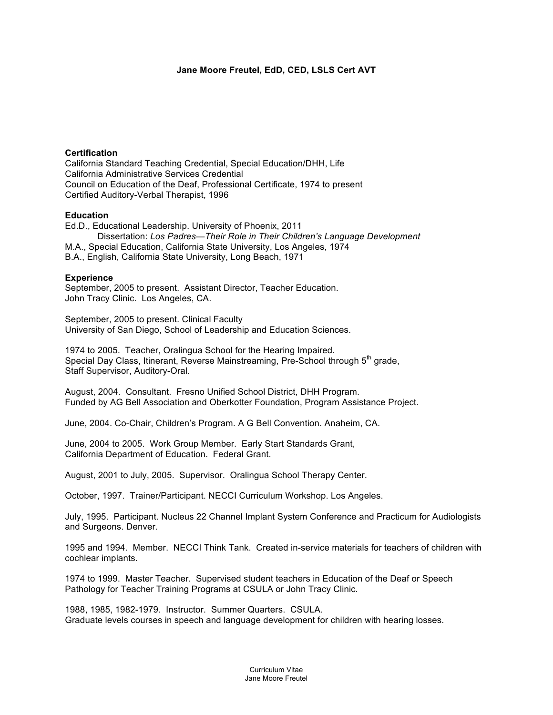# **Jane Moore Freutel, EdD, CED, LSLS Cert AVT**

### **Certification**

California Standard Teaching Credential, Special Education/DHH, Life California Administrative Services Credential Council on Education of the Deaf, Professional Certificate, 1974 to present Certified Auditory-Verbal Therapist, 1996

## **Education**

Ed.D., Educational Leadership. University of Phoenix, 2011 Dissertation: *Los Padres—Their Role in Their Children's Language Development* M.A., Special Education, California State University, Los Angeles, 1974 B.A., English, California State University, Long Beach, 1971

## **Experience**

September, 2005 to present. Assistant Director, Teacher Education. John Tracy Clinic. Los Angeles, CA.

September, 2005 to present. Clinical Faculty University of San Diego, School of Leadership and Education Sciences.

1974 to 2005. Teacher, Oralingua School for the Hearing Impaired. Special Day Class, Itinerant, Reverse Mainstreaming, Pre-School through 5<sup>th</sup> grade, Staff Supervisor, Auditory-Oral.

August, 2004. Consultant. Fresno Unified School District, DHH Program. Funded by AG Bell Association and Oberkotter Foundation, Program Assistance Project.

June, 2004. Co-Chair, Children's Program. A G Bell Convention. Anaheim, CA.

June, 2004 to 2005. Work Group Member. Early Start Standards Grant, California Department of Education. Federal Grant.

August, 2001 to July, 2005. Supervisor. Oralingua School Therapy Center.

October, 1997. Trainer/Participant. NECCI Curriculum Workshop. Los Angeles.

July, 1995. Participant. Nucleus 22 Channel Implant System Conference and Practicum for Audiologists and Surgeons. Denver.

1995 and 1994. Member. NECCI Think Tank. Created in-service materials for teachers of children with cochlear implants.

1974 to 1999. Master Teacher. Supervised student teachers in Education of the Deaf or Speech Pathology for Teacher Training Programs at CSULA or John Tracy Clinic.

1988, 1985, 1982-1979. Instructor. Summer Quarters. CSULA. Graduate levels courses in speech and language development for children with hearing losses.